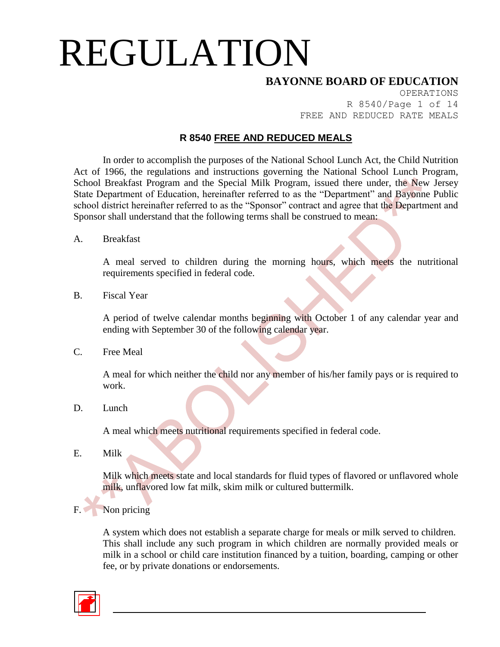#### **BAYONNE BOARD OF EDUCATION**

OPERATIONS R 8540/Page 1 of 14 FREE AND REDUCED RATE MEALS

#### **R 8540 FREE AND REDUCED MEALS**

In order to accomplish the purposes of the National School Lunch Act, the Child Nutrition Act of 1966, the regulations and instructions governing the National School Lunch Program, School Breakfast Program and the Special Milk Program, issued there under, the New Jersey State Department of Education, hereinafter referred to as the "Department" and Bayonne Public school district hereinafter referred to as the "Sponsor" contract and agree that the Department and Sponsor shall understand that the following terms shall be construed to mean:

A. Breakfast

A meal served to children during the morning hours, which meets the nutritional requirements specified in federal code.

B. Fiscal Year

A period of twelve calendar months beginning with October 1 of any calendar year and ending with September 30 of the following calendar year.

C. Free Meal

A meal for which neither the child nor any member of his/her family pays or is required to work.

D. Lunch

A meal which meets nutritional requirements specified in federal code.

E. Milk

Milk which meets state and local standards for fluid types of flavored or unflavored whole milk, unflavored low fat milk, skim milk or cultured buttermilk.

F. Non pricing

A system which does not establish a separate charge for meals or milk served to children. This shall include any such program in which children are normally provided meals or milk in a school or child care institution financed by a tuition, boarding, camping or other fee, or by private donations or endorsements.

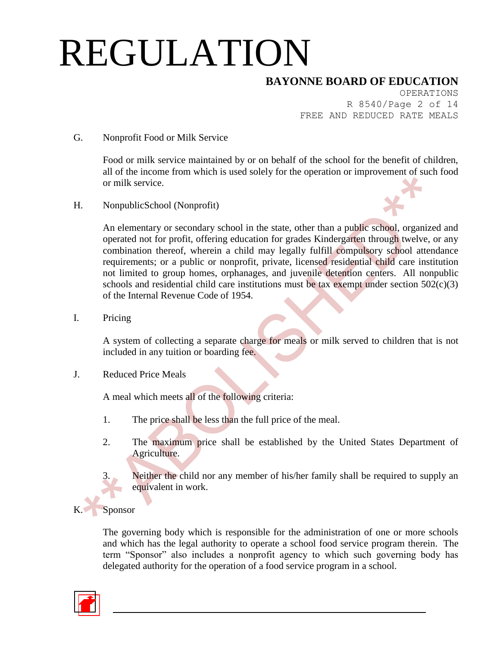### **BAYONNE BOARD OF EDUCATION**

OPERATIONS R 8540/Page 2 of 14 FREE AND REDUCED RATE MEALS

#### G. Nonprofit Food or Milk Service

Food or milk service maintained by or on behalf of the school for the benefit of children, all of the income from which is used solely for the operation or improvement of such food or milk service.

H. NonpublicSchool (Nonprofit)



An elementary or secondary school in the state, other than a public school, organized and operated not for profit, offering education for grades Kindergarten through twelve, or any combination thereof, wherein a child may legally fulfill compulsory school attendance requirements; or a public or nonprofit, private, licensed residential child care institution not limited to group homes, orphanages, and juvenile detention centers. All nonpublic schools and residential child care institutions must be tax exempt under section  $502(c)(3)$ of the Internal Revenue Code of 1954.

I. Pricing

A system of collecting a separate charge for meals or milk served to children that is not included in any tuition or boarding fee.

J. Reduced Price Meals

A meal which meets all of the following criteria:

- 1. The price shall be less than the full price of the meal.
- 2. The maximum price shall be established by the United States Department of Agriculture.
	- Neither the child nor any member of his/her family shall be required to supply an equivalent in work.
- **Sponsor**

The governing body which is responsible for the administration of one or more schools and which has the legal authority to operate a school food service program therein. The term "Sponsor" also includes a nonprofit agency to which such governing body has delegated authority for the operation of a food service program in a school.

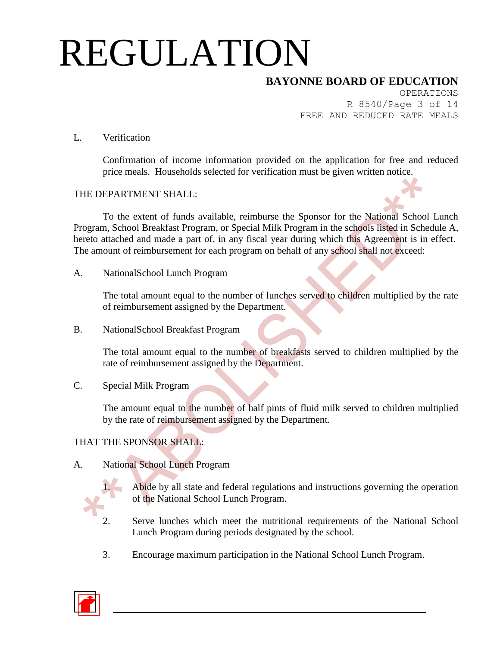### **BAYONNE BOARD OF EDUCATION**

OPERATIONS R 8540/Page 3 of 14 FREE AND REDUCED RATE MEALS

#### L. Verification

Confirmation of income information provided on the application for free and reduced price meals. Households selected for verification must be given written notice.

#### THE DEPARTMENT SHALL:

To the extent of funds available, reimburse the Sponsor for the National School Lunch Program, School Breakfast Program, or Special Milk Program in the schools listed in Schedule A, hereto attached and made a part of, in any fiscal year during which this Agreement is in effect. The amount of reimbursement for each program on behalf of any school shall not exceed:

A. NationalSchool Lunch Program

The total amount equal to the number of lunches served to children multiplied by the rate of reimbursement assigned by the Department.

B. NationalSchool Breakfast Program

The total amount equal to the number of breakfasts served to children multiplied by the rate of reimbursement assigned by the Department.

C. Special Milk Program

The amount equal to the number of half pints of fluid milk served to children multiplied by the rate of reimbursement assigned by the Department.

#### THAT THE SPONSOR SHALL:

#### A. National School Lunch Program



Abide by all state and federal regulations and instructions governing the operation of the National School Lunch Program.

- 2. Serve lunches which meet the nutritional requirements of the National School Lunch Program during periods designated by the school.
- 3. Encourage maximum participation in the National School Lunch Program.

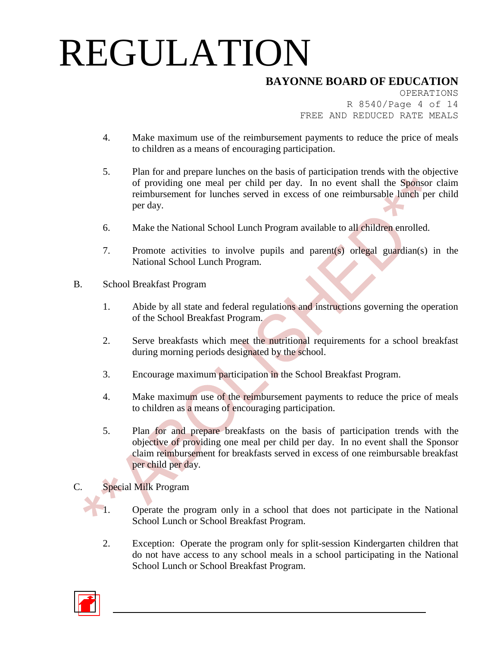## **BAYONNE BOARD OF EDUCATION**

OPERATIONS R 8540/Page 4 of 14 FREE AND REDUCED RATE MEALS

- 4. Make maximum use of the reimbursement payments to reduce the price of meals to children as a means of encouraging participation.
- 5. Plan for and prepare lunches on the basis of participation trends with the objective of providing one meal per child per day. In no event shall the Sponsor claim reimbursement for lunches served in excess of one reimbursable lunch per child per day.
- 6. Make the National School Lunch Program available to all children enrolled.
- 7. Promote activities to involve pupils and parent(s) orlegal guardian(s) in the National School Lunch Program.
- B. School Breakfast Program
	- 1. Abide by all state and federal regulations and instructions governing the operation of the School Breakfast Program.
	- 2. Serve breakfasts which meet the nutritional requirements for a school breakfast during morning periods designated by the school.
	- 3. Encourage maximum participation in the School Breakfast Program.
	- 4. Make maximum use of the reimbursement payments to reduce the price of meals to children as a means of encouraging participation.
	- 5. Plan for and prepare breakfasts on the basis of participation trends with the objective of providing one meal per child per day. In no event shall the Sponsor claim reimbursement for breakfasts served in excess of one reimbursable breakfast per child per day.

#### C. Special Milk Program

- 1. Operate the program only in a school that does not participate in the National School Lunch or School Breakfast Program.
- 2. Exception: Operate the program only for split-session Kindergarten children that do not have access to any school meals in a school participating in the National School Lunch or School Breakfast Program.

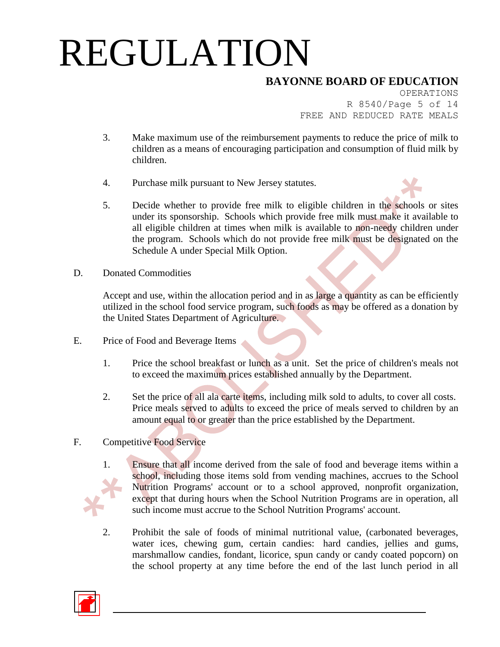## **BAYONNE BOARD OF EDUCATION**

OPERATIONS R 8540/Page 5 of 14 FREE AND REDUCED RATE MEALS

- 3. Make maximum use of the reimbursement payments to reduce the price of milk to children as a means of encouraging participation and consumption of fluid milk by children.
- 4. Purchase milk pursuant to New Jersey statutes.
- 5. Decide whether to provide free milk to eligible children in the schools or sites under its sponsorship. Schools which provide free milk must make it available to all eligible children at times when milk is available to non-needy children under the program. Schools which do not provide free milk must be designated on the Schedule A under Special Milk Option.
- D. Donated Commodities

Accept and use, within the allocation period and in as large a quantity as can be efficiently utilized in the school food service program, such foods as may be offered as a donation by the United States Department of Agriculture.

- E. Price of Food and Beverage Items
	- 1. Price the school breakfast or lunch as a unit. Set the price of children's meals not to exceed the maximum prices established annually by the Department.
	- 2. Set the price of all ala carte items, including milk sold to adults, to cover all costs. Price meals served to adults to exceed the price of meals served to children by an amount equal to or greater than the price established by the Department.
- F. Competitive Food Service



- 1. Ensure that all income derived from the sale of food and beverage items within a school, including those items sold from vending machines, accrues to the School Nutrition Programs' account or to a school approved, nonprofit organization, except that during hours when the School Nutrition Programs are in operation, all such income must accrue to the School Nutrition Programs' account.
- 2. Prohibit the sale of foods of minimal nutritional value, (carbonated beverages, water ices, chewing gum, certain candies: hard candies, jellies and gums, marshmallow candies, fondant, licorice, spun candy or candy coated popcorn) on the school property at any time before the end of the last lunch period in all

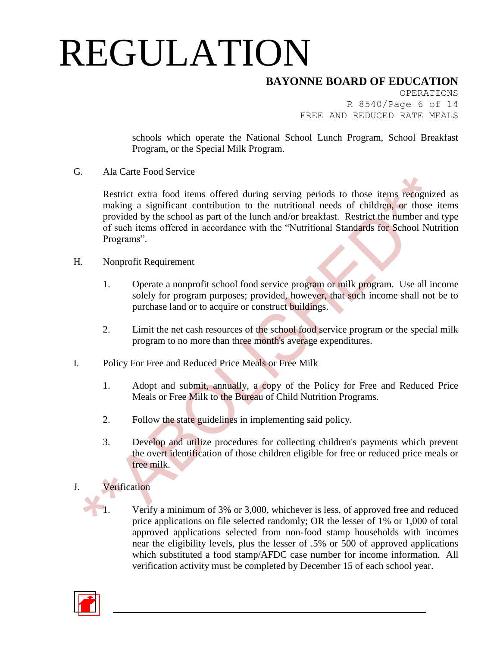### **BAYONNE BOARD OF EDUCATION**

OPERATIONS R 8540/Page 6 of 14 FREE AND REDUCED RATE MEALS

schools which operate the National School Lunch Program, School Breakfast Program, or the Special Milk Program.

G. Ala Carte Food Service

Restrict extra food items offered during serving periods to those items recognized as making a significant contribution to the nutritional needs of children, or those items provided by the school as part of the lunch and/or breakfast. Restrict the number and type of such items offered in accordance with the "Nutritional Standards for School Nutrition Programs".

- H. Nonprofit Requirement
	- 1. Operate a nonprofit school food service program or milk program. Use all income solely for program purposes; provided, however, that such income shall not be to purchase land or to acquire or construct buildings.
	- 2. Limit the net cash resources of the school food service program or the special milk program to no more than three month's average expenditures.
- I. Policy For Free and Reduced Price Meals or Free Milk
	- 1. Adopt and submit, annually, a copy of the Policy for Free and Reduced Price Meals or Free Milk to the Bureau of Child Nutrition Programs.
	- 2. Follow the state guidelines in implementing said policy.
	- 3. Develop and utilize procedures for collecting children's payments which prevent the overt identification of those children eligible for free or reduced price meals or free milk.

#### J. Verification

Verify a minimum of 3% or 3,000, whichever is less, of approved free and reduced price applications on file selected randomly; OR the lesser of 1% or 1,000 of total approved applications selected from non-food stamp households with incomes near the eligibility levels, plus the lesser of .5% or 500 of approved applications which substituted a food stamp/AFDC case number for income information. All verification activity must be completed by December 15 of each school year.

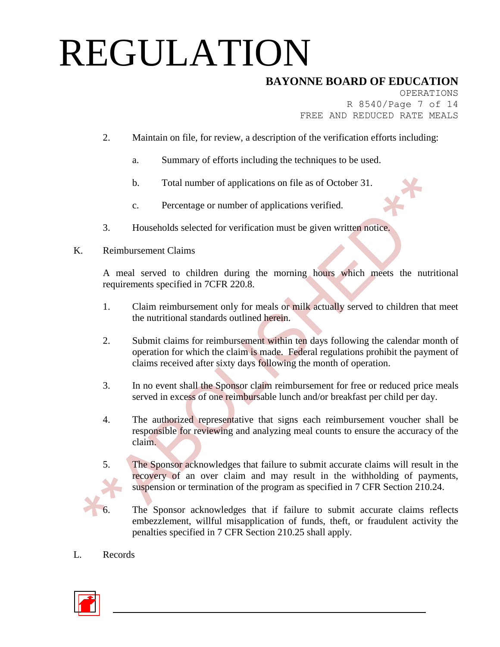## **BAYONNE BOARD OF EDUCATION**

OPERATIONS R 8540/Page 7 of 14 FREE AND REDUCED RATE MEALS

- 2. Maintain on file, for review, a description of the verification efforts including:
	- a. Summary of efforts including the techniques to be used.
	- b. Total number of applications on file as of October 31.
	- c. Percentage or number of applications verified.
- 3. Households selected for verification must be given written notice.
- K. Reimbursement Claims

A meal served to children during the morning hours which meets the nutritional requirements specified in 7CFR 220.8.

- 1. Claim reimbursement only for meals or milk actually served to children that meet the nutritional standards outlined herein.
- 2. Submit claims for reimbursement within ten days following the calendar month of operation for which the claim is made. Federal regulations prohibit the payment of claims received after sixty days following the month of operation.
- 3. In no event shall the Sponsor claim reimbursement for free or reduced price meals served in excess of one reimbursable lunch and/or breakfast per child per day.
- 4. The authorized representative that signs each reimbursement voucher shall be responsible for reviewing and analyzing meal counts to ensure the accuracy of the claim.
- 
- 5. The Sponsor acknowledges that failure to submit accurate claims will result in the recovery of an over claim and may result in the withholding of payments, suspension or termination of the program as specified in 7 CFR Section 210.24.
	- The Sponsor acknowledges that if failure to submit accurate claims reflects embezzlement, willful misapplication of funds, theft, or fraudulent activity the penalties specified in 7 CFR Section 210.25 shall apply.
- L. Records

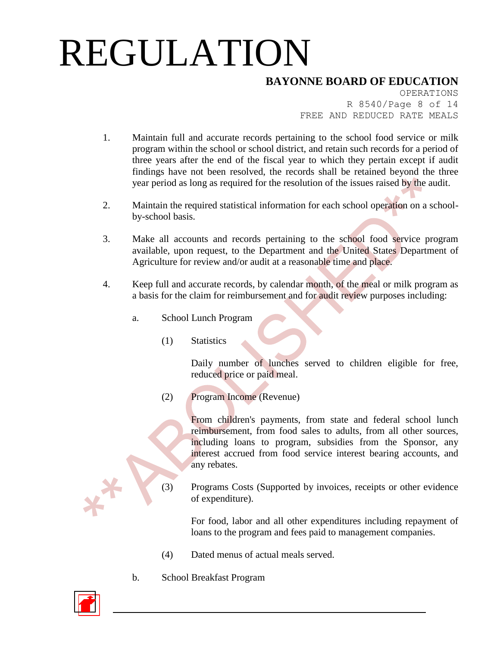### **BAYONNE BOARD OF EDUCATION**

OPERATIONS R 8540/Page 8 of 14 FREE AND REDUCED RATE MEALS

- 1. Maintain full and accurate records pertaining to the school food service or milk program within the school or school district, and retain such records for a period of three years after the end of the fiscal year to which they pertain except if audit findings have not been resolved, the records shall be retained beyond the three year period as long as required for the resolution of the issues raised by the audit.
- 2. Maintain the required statistical information for each school operation on a schoolby-school basis.
- 3. Make all accounts and records pertaining to the school food service program available, upon request, to the Department and the United States Department of Agriculture for review and/or audit at a reasonable time and place.
- 4. Keep full and accurate records, by calendar month, of the meal or milk program as a basis for the claim for reimbursement and for audit review purposes including:
	- a. School Lunch Program
		- (1) Statistics

Daily number of lunches served to children eligible for free, reduced price or paid meal.

(2) Program Income (Revenue)

From children's payments, from state and federal school lunch reimbursement, from food sales to adults, from all other sources, including loans to program, subsidies from the Sponsor, any interest accrued from food service interest bearing accounts, and any rebates.

(3) Programs Costs (Supported by invoices, receipts or other evidence of expenditure).

> For food, labor and all other expenditures including repayment of loans to the program and fees paid to management companies.

- (4) Dated menus of actual meals served.
- b. School Breakfast Program

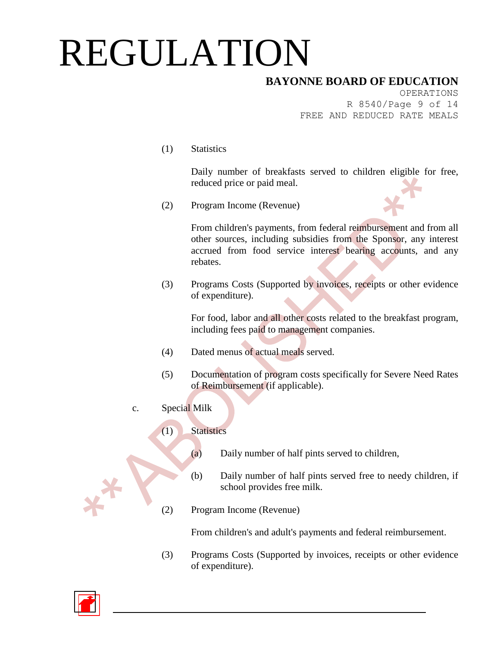### **BAYONNE BOARD OF EDUCATION**

OPERATIONS R 8540/Page 9 of 14 FREE AND REDUCED RATE MEALS

(1) Statistics

Daily number of breakfasts served to children eligible for free, reduced price or paid meal.

(2) Program Income (Revenue)

From children's payments, from federal reimbursement and from all other sources, including subsidies from the Sponsor, any interest accrued from food service interest bearing accounts, and any rebates.

(3) Programs Costs (Supported by invoices, receipts or other evidence of expenditure).

For food, labor and all other costs related to the breakfast program, including fees paid to management companies.

- (4) Dated menus of actual meals served.
- (5) Documentation of program costs specifically for Severe Need Rates of Reimbursement (if applicable).
- c. Special Milk

#### (1) Statistics

- (a) Daily number of half pints served to children,
- (b) Daily number of half pints served free to needy children, if school provides free milk.
- (2) Program Income (Revenue)

From children's and adult's payments and federal reimbursement.

(3) Programs Costs (Supported by invoices, receipts or other evidence of expenditure).

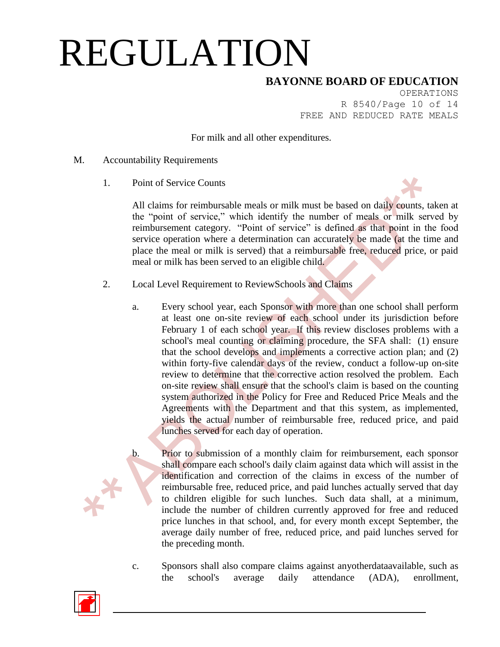#### **BAYONNE BOARD OF EDUCATION**

OPERATIONS R 8540/Page 10 of 14 FREE AND REDUCED RATE MEALS

For milk and all other expenditures.

- M. Accountability Requirements
	- 1. Point of Service Counts

All claims for reimbursable meals or milk must be based on daily counts, taken at the "point of service," which identify the number of meals or milk served by reimbursement category. "Point of service" is defined as that point in the food service operation where a determination can accurately be made (at the time and place the meal or milk is served) that a reimbursable free, reduced price, or paid meal or milk has been served to an eligible child.

- 2. Local Level Requirement to ReviewSchools and Claims
	- a. Every school year, each Sponsor with more than one school shall perform at least one on-site review of each school under its jurisdiction before February 1 of each school year. If this review discloses problems with a school's meal counting or claiming procedure, the SFA shall: (1) ensure that the school develops and implements a corrective action plan; and (2) within forty-five calendar days of the review, conduct a follow-up on-site review to determine that the corrective action resolved the problem. Each on-site review shall ensure that the school's claim is based on the counting system authorized in the Policy for Free and Reduced Price Meals and the Agreements with the Department and that this system, as implemented, yields the actual number of reimbursable free, reduced price, and paid lunches served for each day of operation.
	- b. Prior to submission of a monthly claim for reimbursement, each sponsor shall compare each school's daily claim against data which will assist in the identification and correction of the claims in excess of the number of reimbursable free, reduced price, and paid lunches actually served that day to children eligible for such lunches. Such data shall, at a minimum, include the number of children currently approved for free and reduced price lunches in that school, and, for every month except September, the average daily number of free, reduced price, and paid lunches served for the preceding month.
	- c. Sponsors shall also compare claims against anyotherdataavailable, such as the school's average daily attendance (ADA), enrollment,

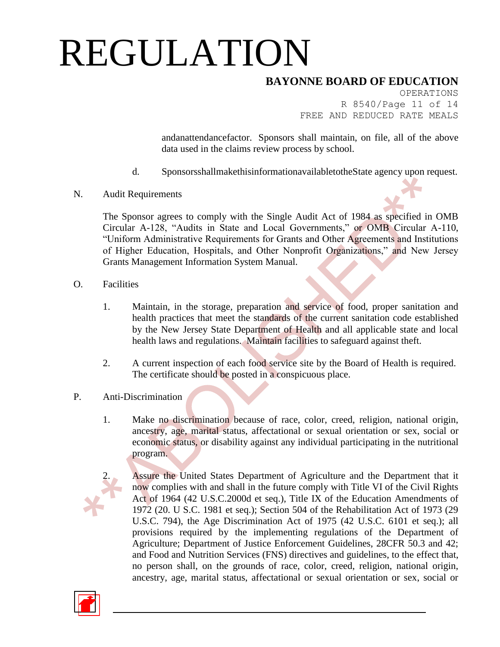### **BAYONNE BOARD OF EDUCATION**

OPERATIONS R 8540/Page 11 of 14 FREE AND REDUCED RATE MEALS

andanattendancefactor. Sponsors shall maintain, on file, all of the above data used in the claims review process by school.

- d. SponsorsshallmakethisinformationavailabletotheState agency upon request.
- N. Audit Requirements

The Sponsor agrees to comply with the Single Audit Act of 1984 as specified in OMB Circular A-128, "Audits in State and Local Governments," or OMB Circular A-110, "Uniform Administrative Requirements for Grants and Other Agreements and Institutions of Higher Education, Hospitals, and Other Nonprofit Organizations," and New Jersey Grants Management Information System Manual.

- O. Facilities
	- 1. Maintain, in the storage, preparation and service of food, proper sanitation and health practices that meet the standards of the current sanitation code established by the New Jersey State Department of Health and all applicable state and local health laws and regulations. Maintain facilities to safeguard against theft.
	- 2. A current inspection of each food service site by the Board of Health is required. The certificate should be posted in a conspicuous place.
- P. Anti-Discrimination
	- 1. Make no discrimination because of race, color, creed, religion, national origin, ancestry, age, marital status, affectational or sexual orientation or sex, social or economic status, or disability against any individual participating in the nutritional program.
		- Assure the United States Department of Agriculture and the Department that it now complies with and shall in the future comply with Title VI of the Civil Rights Act of 1964 (42 U.S.C.2000d et seq.), Title IX of the Education Amendments of 1972 (20. U S.C. 1981 et seq.); Section 504 of the Rehabilitation Act of 1973 (29 U.S.C. 794), the Age Discrimination Act of 1975 (42 U.S.C. 6101 et seq.); all provisions required by the implementing regulations of the Department of Agriculture; Department of Justice Enforcement Guidelines, 28CFR 50.3 and 42; and Food and Nutrition Services (FNS) directives and guidelines, to the effect that, no person shall, on the grounds of race, color, creed, religion, national origin, ancestry, age, marital status, affectational or sexual orientation or sex, social or

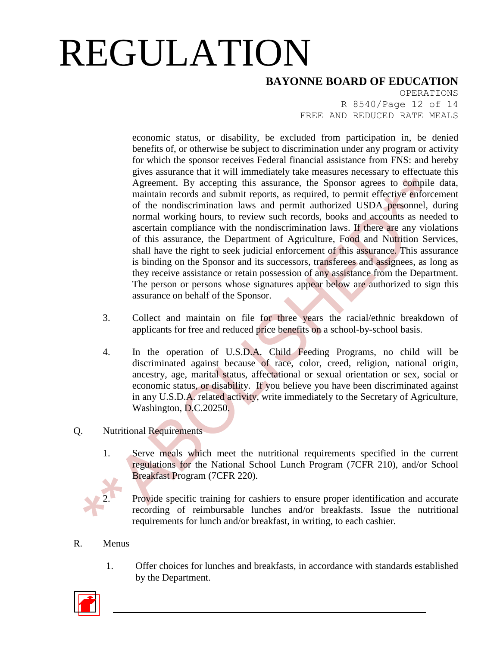### **BAYONNE BOARD OF EDUCATION**

OPERATIONS R 8540/Page 12 of 14 FREE AND REDUCED RATE MEALS

economic status, or disability, be excluded from participation in, be denied benefits of, or otherwise be subject to discrimination under any program or activity for which the sponsor receives Federal financial assistance from FNS: and hereby gives assurance that it will immediately take measures necessary to effectuate this Agreement. By accepting this assurance, the Sponsor agrees to compile data, maintain records and submit reports, as required, to permit effective enforcement of the nondiscrimination laws and permit authorized USDA personnel, during normal working hours, to review such records, books and accounts as needed to ascertain compliance with the nondiscrimination laws. If there are any violations of this assurance, the Department of Agriculture, Food and Nutrition Services, shall have the right to seek judicial enforcement of this assurance. This assurance is binding on the Sponsor and its successors, transferees and assignees, as long as they receive assistance or retain possession of any assistance from the Department. The person or persons whose signatures appear below are authorized to sign this assurance on behalf of the Sponsor.

- 3. Collect and maintain on file for three years the racial/ethnic breakdown of applicants for free and reduced price benefits on a school-by-school basis.
- 4. In the operation of U.S.D.A. Child Feeding Programs, no child will be discriminated against because of race, color, creed, religion, national origin, ancestry, age, marital status, affectational or sexual orientation or sex, social or economic status, or disability. If you believe you have been discriminated against in any U.S.D.A. related activity, write immediately to the Secretary of Agriculture, Washington, D.C.20250.

#### Q. Nutritional Requirements

1. Serve meals which meet the nutritional requirements specified in the current regulations for the National School Lunch Program (7CFR 210), and/or School Breakfast Program (7CFR 220).

Provide specific training for cashiers to ensure proper identification and accurate recording of reimbursable lunches and/or breakfasts. Issue the nutritional requirements for lunch and/or breakfast, in writing, to each cashier.

#### R. Menus

1. Offer choices for lunches and breakfasts, in accordance with standards established by the Department.

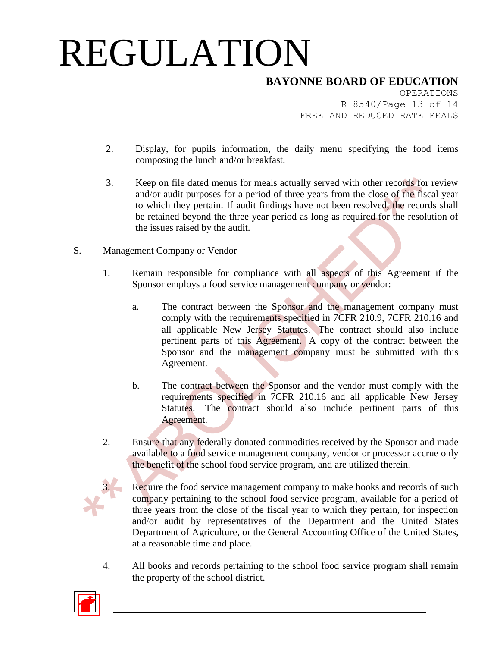### **BAYONNE BOARD OF EDUCATION**

OPERATIONS R 8540/Page 13 of 14 FREE AND REDUCED RATE MEALS

- 2. Display, for pupils information, the daily menu specifying the food items composing the lunch and/or breakfast.
- 3. Keep on file dated menus for meals actually served with other records for review and/or audit purposes for a period of three years from the close of the fiscal year to which they pertain. If audit findings have not been resolved, the records shall be retained beyond the three year period as long as required for the resolution of the issues raised by the audit.
- S. Management Company or Vendor
	- 1. Remain responsible for compliance with all aspects of this Agreement if the Sponsor employs a food service management company or vendor:
		- a. The contract between the Sponsor and the management company must comply with the requirements specified in 7CFR 210.9, 7CFR 210.16 and all applicable New Jersey Statutes. The contract should also include pertinent parts of this Agreement. A copy of the contract between the Sponsor and the management company must be submitted with this Agreement.
		- b. The contract between the Sponsor and the vendor must comply with the requirements specified in 7CFR 210.16 and all applicable New Jersey Statutes. The contract should also include pertinent parts of this Agreement.
	- 2. Ensure that any federally donated commodities received by the Sponsor and made available to a food service management company, vendor or processor accrue only the benefit of the school food service program, and are utilized therein.



Require the food service management company to make books and records of such company pertaining to the school food service program, available for a period of three years from the close of the fiscal year to which they pertain, for inspection and/or audit by representatives of the Department and the United States Department of Agriculture, or the General Accounting Office of the United States, at a reasonable time and place.

4. All books and records pertaining to the school food service program shall remain the property of the school district.